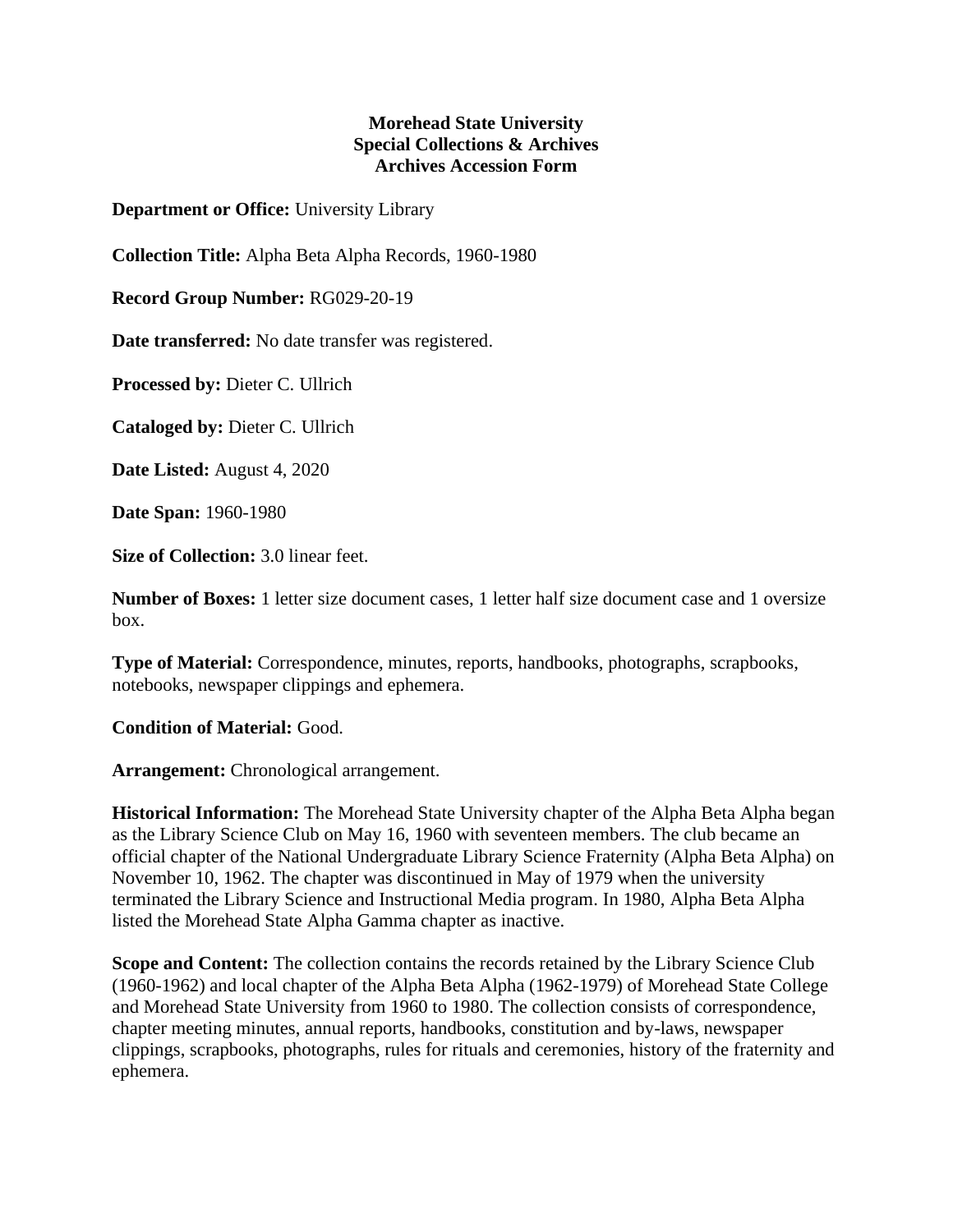## **Morehead State University Special Collections & Archives Archives Accession Form**

**Department or Office:** University Library

**Collection Title:** Alpha Beta Alpha Records, 1960-1980

**Record Group Number:** RG029-20-19

**Date transferred:** No date transfer was registered.

**Processed by:** Dieter C. Ullrich

**Cataloged by:** Dieter C. Ullrich

**Date Listed:** August 4, 2020

**Date Span:** 1960-1980

**Size of Collection:** 3.0 linear feet.

**Number of Boxes:** 1 letter size document cases, 1 letter half size document case and 1 oversize box.

**Type of Material:** Correspondence, minutes, reports, handbooks, photographs, scrapbooks, notebooks, newspaper clippings and ephemera.

**Condition of Material:** Good.

**Arrangement:** Chronological arrangement.

**Historical Information:** The Morehead State University chapter of the Alpha Beta Alpha began as the Library Science Club on May 16, 1960 with seventeen members. The club became an official chapter of the National Undergraduate Library Science Fraternity (Alpha Beta Alpha) on November 10, 1962. The chapter was discontinued in May of 1979 when the university terminated the Library Science and Instructional Media program. In 1980, Alpha Beta Alpha listed the Morehead State Alpha Gamma chapter as inactive.

**Scope and Content:** The collection contains the records retained by the Library Science Club (1960-1962) and local chapter of the Alpha Beta Alpha (1962-1979) of Morehead State College and Morehead State University from 1960 to 1980. The collection consists of correspondence, chapter meeting minutes, annual reports, handbooks, constitution and by-laws, newspaper clippings, scrapbooks, photographs, rules for rituals and ceremonies, history of the fraternity and ephemera.